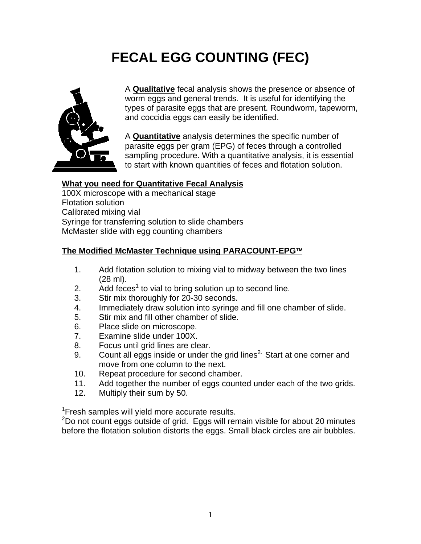## **FECAL EGG COUNTING (FEC)**



A **Qualitative** fecal analysis shows the presence or absence of worm eggs and general trends. It is useful for identifying the types of parasite eggs that are present. Roundworm, tapeworm, and coccidia eggs can easily be identified.

A **Quantitative** analysis determines the specific number of parasite eggs per gram (EPG) of feces through a controlled sampling procedure. With a quantitative analysis, it is essential to start with known quantities of feces and flotation solution.

## **What you need for Quantitative Fecal Analysis**

100X microscope with a mechanical stage Flotation solution Calibrated mixing vial Syringe for transferring solution to slide chambers McMaster slide with egg counting chambers

## **The Modified McMaster Technique using PARACOUNT-EPG**™

- 1. Add flotation solution to mixing vial to midway between the two lines (28 ml).
- 2.  $\overline{A}$  Add feces<sup>1</sup> to vial to bring solution up to second line.
- 3. Stir mix thoroughly for 20-30 seconds.
- 4. Immediately draw solution into syringe and fill one chamber of slide.
- 5. Stir mix and fill other chamber of slide.
- 6. Place slide on microscope.
- 7. Examine slide under 100X.
- 8. Focus until grid lines are clear.
- 9. Count all eggs inside or under the grid lines<sup>2.</sup> Start at one corner and move from one column to the next.
- 10. Repeat procedure for second chamber.
- 11. Add together the number of eggs counted under each of the two grids.
- 12. Multiply their sum by 50.

<sup>1</sup> Fresh samples will yield more accurate results.

 $2$ Do not count eggs outside of grid. Eggs will remain visible for about 20 minutes before the flotation solution distorts the eggs. Small black circles are air bubbles.